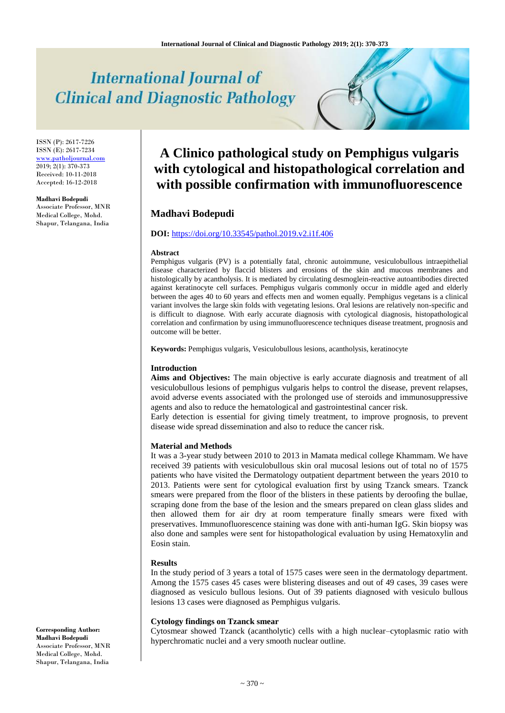# **International Journal of Clinical and Diagnostic Pathology**

ISSN (P): 2617-7226 ISSN (E): 2617-7234 [www.patholjournal.com](http://www.patholjournal.com/)  $2019; 2(1): 370-373$ Received: 10-11-2018 Accepted: 16-12-2018

#### **Madhavi Bodepudi**

Associate Professor, MNR Medical College, Mohd. Shapur, Telangana, India

# **A Clinico pathological study on Pemphigus vulgaris with cytological and histopathological correlation and with possible confirmation with immunofluorescence**

# **Madhavi Bodepudi**

### **DOI:** <https://doi.org/10.33545/pathol.2019.v2.i1f.406>

# **Abstract**

Pemphigus vulgaris (PV) is a potentially fatal, chronic autoimmune, vesiculobullous intraepithelial disease characterized by flaccid blisters and erosions of the skin and mucous membranes and histologically by acantholysis. It is mediated by circulating desmoglein-reactive autoantibodies directed against keratinocyte cell surfaces. Pemphigus vulgaris commonly occur in middle aged and elderly between the ages 40 to 60 years and effects men and women equally. Pemphigus vegetans is a clinical variant involves the large skin folds with vegetating lesions. Oral lesions are relatively non-specific and is difficult to diagnose. With early accurate diagnosis with cytological diagnosis, histopathological correlation and confirmation by using immunofluorescence techniques disease treatment, prognosis and outcome will be better.

**Keywords:** Pemphigus vulgaris, Vesiculobullous lesions, acantholysis, keratinocyte

#### **Introduction**

**Aims and Objectives:** The main objective is early accurate diagnosis and treatment of all vesiculobullous lesions of pemphigus vulgaris helps to control the disease, prevent relapses, avoid adverse events associated with the prolonged use of steroids and immunosuppressive agents and also to reduce the hematological and gastrointestinal cancer risk.

Early detection is essential for giving timely treatment, to improve prognosis, to prevent disease wide spread dissemination and also to reduce the cancer risk.

#### **Material and Methods**

It was a 3-year study between 2010 to 2013 in Mamata medical college Khammam. We have received 39 patients with vesiculobullous skin oral mucosal lesions out of total no of 1575 patients who have visited the Dermatology outpatient department between the years 2010 to 2013. Patients were sent for cytological evaluation first by using Tzanck smears. Tzanck smears were prepared from the floor of the blisters in these patients by deroofing the bullae, scraping done from the base of the lesion and the smears prepared on clean glass slides and then allowed them for air dry at room temperature finally smears were fixed with preservatives. Immunofluorescence staining was done with anti-human IgG. Skin biopsy was also done and samples were sent for histopathological evaluation by using Hematoxylin and Eosin stain.

#### **Results**

In the study period of 3 years a total of 1575 cases were seen in the dermatology department. Among the 1575 cases 45 cases were blistering diseases and out of 49 cases, 39 cases were diagnosed as vesiculo bullous lesions. Out of 39 patients diagnosed with vesiculo bullous lesions 13 cases were diagnosed as Pemphigus vulgaris.

#### **Cytology findings on Tzanck smear**

Cytosmear showed Tzanck (acantholytic) cells with a high nuclear–cytoplasmic ratio with hyperchromatic nuclei and a very smooth nuclear outline.

**Corresponding Author: Madhavi Bodepudi** Associate Professor, MNR Medical College, Mohd. Shapur, Telangana, India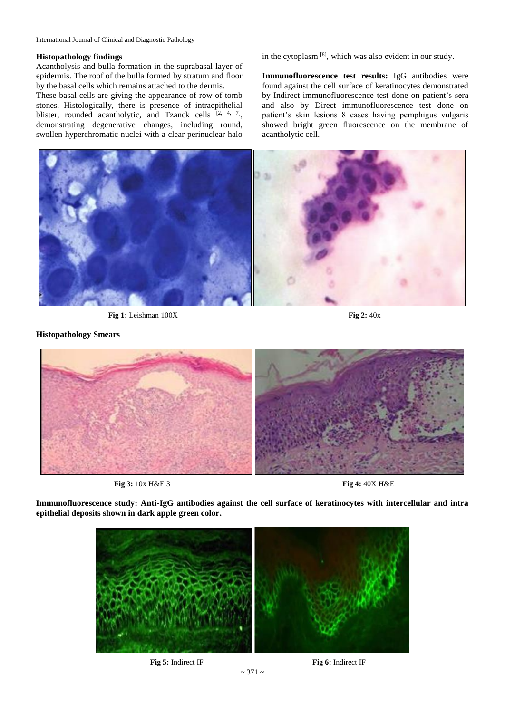### **Histopathology findings**

Acantholysis and bulla formation in the suprabasal layer of epidermis. The roof of the bulla formed by stratum and floor by the basal cells which remains attached to the dermis.

These basal cells are giving the appearance of row of tomb stones. Histologically, there is presence of intraepithelial blister, rounded acantholytic, and Tzanck cells  $[2, 4, 7]$ , demonstrating degenerative changes, including round, swollen hyperchromatic nuclei with a clear perinuclear halo in the cytoplasm<sup>[8]</sup>, which was also evident in our study.

**Immunofluorescence test results:** IgG antibodies were found against the cell surface of keratinocytes demonstrated by Indirect immunofluorescence test done on patient's sera and also by Direct immunofluorescence test done on patient's skin lesions 8 cases having pemphigus vulgaris showed bright green fluorescence on the membrane of acantholytic cell.



**Fig 1:** Leishman 100X **Fig 2:** 40x

**Histopathology Smears**



**Fig 3:** 10x H&E 3 **Fig 4:** 40X H&E

**Immunofluorescence study: Anti-IgG antibodies against the cell surface of keratinocytes with intercellular and intra epithelial deposits shown in dark apple green color.**

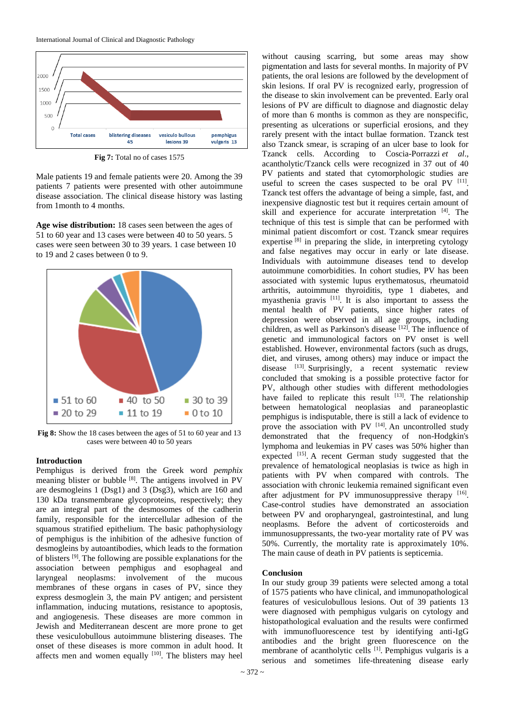

**Fig 7:** Total no of cases 1575

Male patients 19 and female patients were 20. Among the 39 patients 7 patients were presented with other autoimmune disease association. The clinical disease history was lasting from 1month to 4 months.

**Age wise distribution:** 18 cases seen between the ages of 51 to 60 year and 13 cases were between 40 to 50 years. 5 cases were seen between 30 to 39 years. 1 case between 10 to 19 and 2 cases between 0 to 9.



**Fig 8:** Show the 18 cases between the ages of 51 to 60 year and 13 cases were between 40 to 50 years

# **Introduction**

Pemphigus is derived from the Greek word *pemphix* meaning blister or bubble [8]. The antigens involved in PV are desmogleins 1 (Dsg1) and 3 (Dsg3), which are 160 and 130 kDa transmembrane glycoproteins, respectively; they are an integral part of the desmosomes of the cadherin family, responsible for the intercellular adhesion of the squamous stratified epithelium. The basic pathophysiology of pemphigus is the inhibition of the adhesive function of desmogleins by autoantibodies, which leads to the formation of blisters [9] . The following are possible explanations for the association between pemphigus and esophageal and laryngeal neoplasms: involvement of the mucous membranes of these organs in cases of PV, since they express desmoglein 3, the main PV antigen; and persistent inflammation, inducing mutations, resistance to apoptosis, and angiogenesis. These diseases are more common in Jewish and Mediterranean descent are more prone to get these vesiculobullous autoimmune blistering diseases. The onset of these diseases is more common in adult hood. It affects men and women equally  $[10]$ . The blisters may heel

without causing scarring, but some areas may show pigmentation and lasts for several months. In majority of PV patients, the oral lesions are followed by the development of skin lesions. If oral PV is recognized early, progression of the disease to skin involvement can be prevented. Early oral lesions of PV are difficult to diagnose and diagnostic delay of more than 6 months is common as they are nonspecific, presenting as ulcerations or superficial erosions, and they rarely present with the intact bullae formation. Tzanck test also Tzanck smear, is scraping of an ulcer base to look for Tzanck cells. According to Coscia-Porrazzi *et al*., acantholytic/Tzanck cells were recognized in 37 out of 40 PV patients and stated that cytomorphologic studies are useful to screen the cases suspected to be oral PV [11]. Tzanck test offers the advantage of being a simple, fast, and inexpensive diagnostic test but it requires certain amount of skill and experience for accurate interpretation [4]. The technique of this test is simple that can be performed with minimal patient discomfort or cost. Tzanck smear requires expertise  $[8]$  in preparing the slide, in interpreting cytology and false negatives may occur in early or late disease. Individuals with autoimmune diseases tend to develop autoimmune comorbidities. In cohort studies, PV has been associated with systemic lupus erythematosus, rheumatoid arthritis, autoimmune thyroiditis, type 1 diabetes, and myasthenia gravis <sup>[11]</sup>. It is also important to assess the mental health of PV patients, since higher rates of depression were observed in all age groups, including children, as well as Parkinson's disease [12]. The influence of genetic and immunological factors on PV onset is well established. However, environmental factors (such as drugs, diet, and viruses, among others) may induce or impact the disease [13] Surprisingly, a recent systematic review concluded that smoking is a possible protective factor for PV, although other studies with different methodologies have failed to replicate this result  $[13]$ . The relationship between hematological neoplasias and paraneoplastic pemphigus is indisputable, there is still a lack of evidence to prove the association with PV  $[14]$ . An uncontrolled study demonstrated that the frequency of non-Hodgkin's lymphoma and leukemias in PV cases was 50% higher than expected [15]. A recent German study suggested that the prevalence of hematological neoplasias is twice as high in patients with PV when compared with controls. The association with chronic leukemia remained significant even after adjustment for PV immunosuppressive therapy [16]. Case-control studies have demonstrated an association between PV and oropharyngeal, gastrointestinal, and lung neoplasms. Before the advent of corticosteroids and immunosuppressants, the two-year mortality rate of PV was 50%. Currently, the mortality rate is approximately 10%. The main cause of death in PV patients is septicemia.

# **Conclusion**

In our study group 39 patients were selected among a total of 1575 patients who have clinical, and immunopathological features of vesiculobullous lesions. Out of 39 patients 13 were diagnosed with pemphigus vulgaris on cytology and histopathological evaluation and the results were confirmed with immunofluorescence test by identifying anti-IgG antibodies and the bright green fluorescence on the membrane of acantholytic cells <sup>[1]</sup>. Pemphigus vulgaris is a serious and sometimes life-threatening disease early